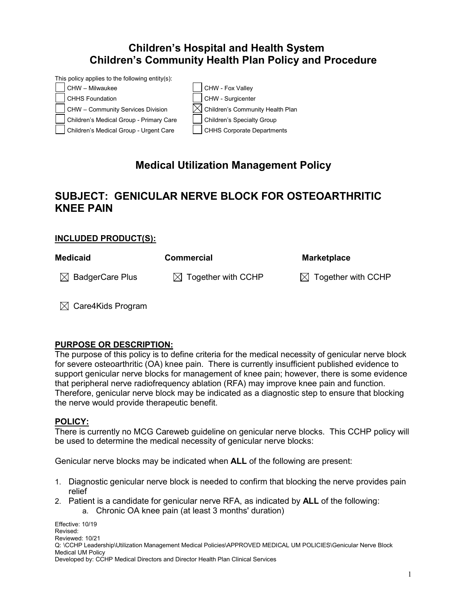## **Children's Hospital and Health System Children's Community Health Plan Policy and Procedure**

This policy applies to the following entity(s):



# **Medical Utilization Management Policy**

## **SUBJECT: GENICULAR NERVE BLOCK FOR OSTEOARTHRITIC KNEE PAIN**

### **INCLUDED PRODUCT(S):**

| <b>Medicaid</b>             | <b>Commercial</b>              | <b>Marketplace</b>             |
|-----------------------------|--------------------------------|--------------------------------|
| $\boxtimes$ BadgerCare Plus | $\boxtimes$ Together with CCHP | $\boxtimes$ Together with CCHP |

 $\boxtimes$  Care4Kids Program

#### **PURPOSE OR DESCRIPTION:**

The purpose of this policy is to define criteria for the medical necessity of genicular nerve block for severe osteoarthritic (OA) knee pain. There is currently insufficient published evidence to support genicular nerve blocks for management of knee pain; however, there is some evidence that peripheral nerve radiofrequency ablation (RFA) may improve knee pain and function. Therefore, genicular nerve block may be indicated as a diagnostic step to ensure that blocking the nerve would provide therapeutic benefit.

#### **POLICY:**

There is currently no MCG Careweb guideline on genicular nerve blocks. This CCHP policy will be used to determine the medical necessity of genicular nerve blocks:

Genicular nerve blocks may be indicated when **ALL** of the following are present:

- 1. Diagnostic genicular nerve block is needed to confirm that blocking the nerve provides pain relief
- 2. Patient is a candidate for genicular nerve RFA, as indicated by **ALL** of the following: a. Chronic OA knee pain (at least 3 months' duration)

Effective: 10/19 Revised: Reviewed: 10/21 Q: \CCHP Leadership\Utilization Management Medical Policies\APPROVED MEDICAL UM POLICIES\Genicular Nerve Block Medical UM Policy Developed by: CCHP Medical Directors and Director Health Plan Clinical Services